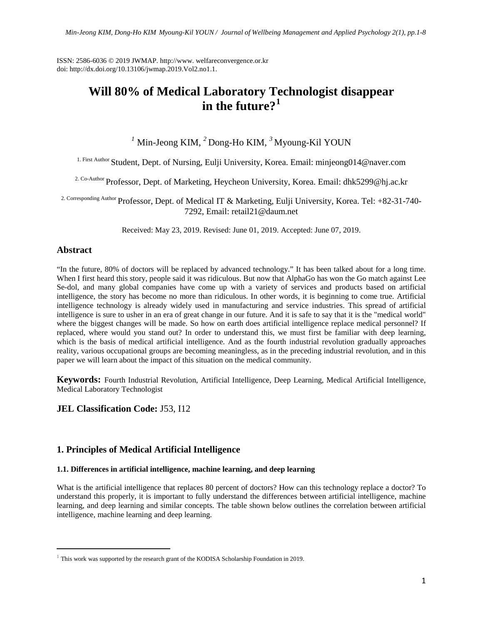ISSN: 2586-6036 © 2019 JWMAP. http://www. welfareconvergence.or.kr doi: http://dx.doi.org/10.13106/jwmap.2019.Vol2.no1.1.

# **Will 80% of Medical Laboratory Technologist disappear in the future?[1](#page-0-0)**

# <sup>1</sup> Min-Jeong KIM, <sup>2</sup> Dong-Ho KIM, <sup>3</sup> Myoung-Kil YOUN

1. First Author Student, Dept. of Nursing, Eulji University, Korea. Email: minjeong014@naver.com

<sup>2. Co-Author</sup> Professor, Dept. of Marketing, Heycheon University, Korea. Email: dhk5299@hj.ac.kr

2. Corresponding Author Professor, Dept. of Medical IT & Marketing, Eulji University, Korea. Tel: +82-31-740- 7292, Email: retail21@daum.net

Received: May 23, 2019. Revised: June 01, 2019. Accepted: June 07, 2019.

# **Abstract**

 $\overline{\phantom{a}}$ 

"In the future, 80% of doctors will be replaced by advanced technology." It has been talked about for a long time. When I first heard this story, people said it was ridiculous. But now that AlphaGo has won the Go match against Lee Se-dol, and many global companies have come up with a variety of services and products based on artificial intelligence, the story has become no more than ridiculous. In other words, it is beginning to come true. Artificial intelligence technology is already widely used in manufacturing and service industries. This spread of artificial intelligence is sure to usher in an era of great change in our future. And it is safe to say that it is the "medical world" where the biggest changes will be made. So how on earth does artificial intelligence replace medical personnel? If replaced, where would you stand out? In order to understand this, we must first be familiar with deep learning, which is the basis of medical artificial intelligence. And as the fourth industrial revolution gradually approaches reality, various occupational groups are becoming meaningless, as in the preceding industrial revolution, and in this paper we will learn about the impact of this situation on the medical community.

**Keywords:** Fourth Industrial Revolution, Artificial Intelligence, Deep Learning, Medical Artificial Intelligence, Medical Laboratory Technologist

## **JEL Classification Code:** J53, I12

# **1. Principles of Medical Artificial Intelligence**

#### **1.1. Differences in artificial intelligence, machine learning, and deep learning**

What is the artificial intelligence that replaces 80 percent of doctors? How can this technology replace a doctor? To understand this properly, it is important to fully understand the differences between artificial intelligence, machine learning, and deep learning and similar concepts. The table shown below outlines the correlation between artificial intelligence, machine learning and deep learning.

<span id="page-0-0"></span> $1$  This work was supported by the research grant of the KODISA Scholarship Foundation in 2019.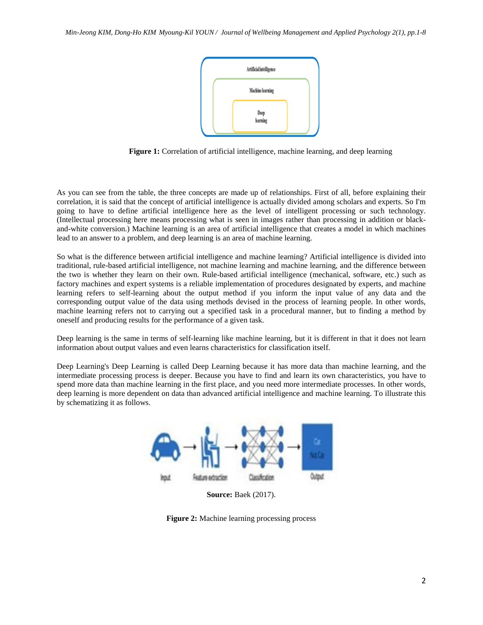

**Figure 1:** Correlation of artificial intelligence, machine learning, and deep learning

As you can see from the table, the three concepts are made up of relationships. First of all, before explaining their correlation, it is said that the concept of artificial intelligence is actually divided among scholars and experts. So I'm going to have to define artificial intelligence here as the level of intelligent processing or such technology. (Intellectual processing here means processing what is seen in images rather than processing in addition or blackand-white conversion.) Machine learning is an area of artificial intelligence that creates a model in which machines lead to an answer to a problem, and deep learning is an area of machine learning.

So what is the difference between artificial intelligence and machine learning? Artificial intelligence is divided into traditional, rule-based artificial intelligence, not machine learning and machine learning, and the difference between the two is whether they learn on their own. Rule-based artificial intelligence (mechanical, software, etc.) such as factory machines and expert systems is a reliable implementation of procedures designated by experts, and machine learning refers to self-learning about the output method if you inform the input value of any data and the corresponding output value of the data using methods devised in the process of learning people. In other words, machine learning refers not to carrying out a specified task in a procedural manner, but to finding a method by oneself and producing results for the performance of a given task.

Deep learning is the same in terms of self-learning like machine learning, but it is different in that it does not learn information about output values and even learns characteristics for classification itself.

Deep Learning's Deep Learning is called Deep Learning because it has more data than machine learning, and the intermediate processing process is deeper. Because you have to find and learn its own characteristics, you have to spend more data than machine learning in the first place, and you need more intermediate processes. In other words, deep learning is more dependent on data than advanced artificial intelligence and machine learning. To illustrate this by schematizing it as follows.



**Source:** Baek (2017).

**Figure 2:** Machine learning processing process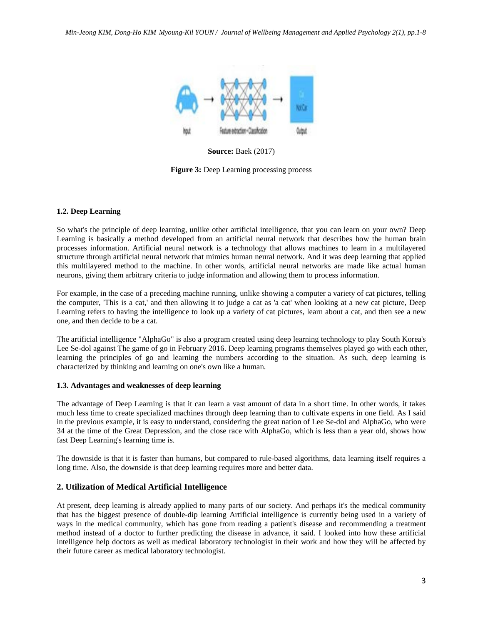

**Source:** Baek (2017)

**Figure 3:** Deep Learning processing process

### **1.2. Deep Learning**

So what's the principle of deep learning, unlike other artificial intelligence, that you can learn on your own? Deep Learning is basically a method developed from an artificial neural network that describes how the human brain processes information. Artificial neural network is a technology that allows machines to learn in a multilayered structure through artificial neural network that mimics human neural network. And it was deep learning that applied this multilayered method to the machine. In other words, artificial neural networks are made like actual human neurons, giving them arbitrary criteria to judge information and allowing them to process information.

For example, in the case of a preceding machine running, unlike showing a computer a variety of cat pictures, telling the computer, 'This is a cat,' and then allowing it to judge a cat as 'a cat' when looking at a new cat picture, Deep Learning refers to having the intelligence to look up a variety of cat pictures, learn about a cat, and then see a new one, and then decide to be a cat.

The artificial intelligence "AlphaGo" is also a program created using deep learning technology to play South Korea's Lee Se-dol against The game of go in February 2016. Deep learning programs themselves played go with each other, learning the principles of go and learning the numbers according to the situation. As such, deep learning is characterized by thinking and learning on one's own like a human.

#### **1.3. Advantages and weaknesses of deep learning**

The advantage of Deep Learning is that it can learn a vast amount of data in a short time. In other words, it takes much less time to create specialized machines through deep learning than to cultivate experts in one field. As I said in the previous example, it is easy to understand, considering the great nation of Lee Se-dol and AlphaGo, who were 34 at the time of the Great Depression, and the close race with AlphaGo, which is less than a year old, shows how fast Deep Learning's learning time is.

The downside is that it is faster than humans, but compared to rule-based algorithms, data learning itself requires a long time. Also, the downside is that deep learning requires more and better data.

## **2. Utilization of Medical Artificial Intelligence**

At present, deep learning is already applied to many parts of our society. And perhaps it's the medical community that has the biggest presence of double-dip learning Artificial intelligence is currently being used in a variety of ways in the medical community, which has gone from reading a patient's disease and recommending a treatment method instead of a doctor to further predicting the disease in advance, it said. I looked into how these artificial intelligence help doctors as well as medical laboratory technologist in their work and how they will be affected by their future career as medical laboratory technologist.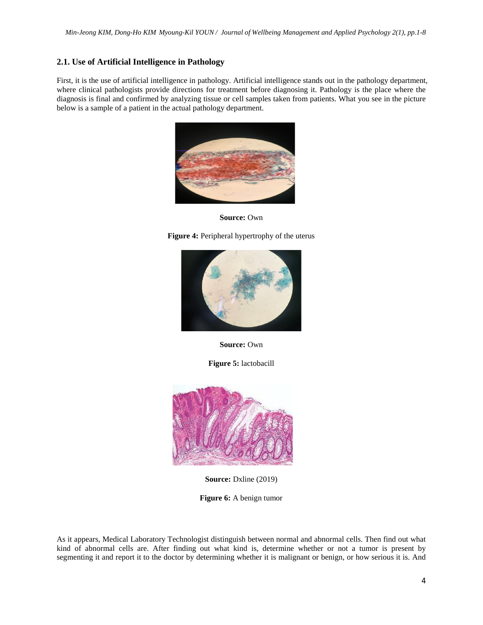### **2.1. Use of Artificial Intelligence in Pathology**

First, it is the use of artificial intelligence in pathology. Artificial intelligence stands out in the pathology department, where clinical pathologists provide directions for treatment before diagnosing it. Pathology is the place where the diagnosis is final and confirmed by analyzing tissue or cell samples taken from patients. What you see in the picture below is a sample of a patient in the actual pathology department.



**Source:** Own

**Figure 4:** Peripheral hypertrophy of the uterus



**Source:** Own

**Figure 5:** lactobacill



**Source: Dxline (2019)** 

**Figure 6:** A benign tumor

As it appears, Medical Laboratory Technologist distinguish between normal and abnormal cells. Then find out what kind of abnormal cells are. After finding out what kind is, determine whether or not a tumor is present by segmenting it and report it to the doctor by determining whether it is malignant or benign, or how serious it is. And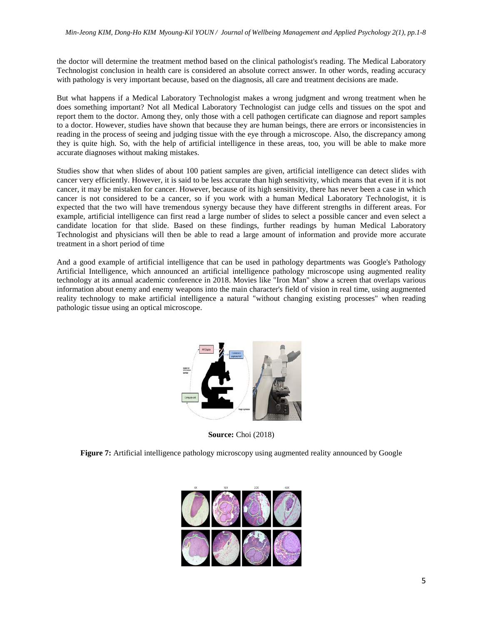the doctor will determine the treatment method based on the clinical pathologist's reading. The Medical Laboratory Technologist conclusion in health care is considered an absolute correct answer. In other words, reading accuracy with pathology is very important because, based on the diagnosis, all care and treatment decisions are made.

But what happens if a Medical Laboratory Technologist makes a wrong judgment and wrong treatment when he does something important? Not all Medical Laboratory Technologist can judge cells and tissues on the spot and report them to the doctor. Among they, only those with a cell pathogen certificate can diagnose and report samples to a doctor. However, studies have shown that because they are human beings, there are errors or inconsistencies in reading in the process of seeing and judging tissue with the eye through a microscope. Also, the discrepancy among they is quite high. So, with the help of artificial intelligence in these areas, too, you will be able to make more accurate diagnoses without making mistakes.

Studies show that when slides of about 100 patient samples are given, artificial intelligence can detect slides with cancer very efficiently. However, it is said to be less accurate than high sensitivity, which means that even if it is not cancer, it may be mistaken for cancer. However, because of its high sensitivity, there has never been a case in which cancer is not considered to be a cancer, so if you work with a human Medical Laboratory Technologist, it is expected that the two will have tremendous synergy because they have different strengths in different areas. For example, artificial intelligence can first read a large number of slides to select a possible cancer and even select a candidate location for that slide. Based on these findings, further readings by human Medical Laboratory Technologist and physicians will then be able to read a large amount of information and provide more accurate treatment in a short period of time

And a good example of artificial intelligence that can be used in pathology departments was Google's Pathology Artificial Intelligence, which announced an artificial intelligence pathology microscope using augmented reality technology at its annual academic conference in 2018. Movies like "Iron Man" show a screen that overlaps various information about enemy and enemy weapons into the main character's field of vision in real time, using augmented reality technology to make artificial intelligence a natural "without changing existing processes" when reading pathologic tissue using an optical microscope.



**Source:** Choi (2018)

**Figure 7:** Artificial intelligence pathology microscopy using augmented reality announced by Google

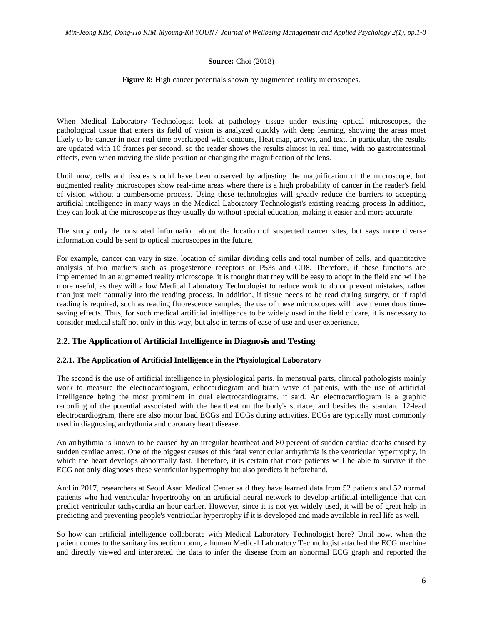#### **Source:** Choi (2018)

**Figure 8:** High cancer potentials shown by augmented reality microscopes.

When Medical Laboratory Technologist look at pathology tissue under existing optical microscopes, the pathological tissue that enters its field of vision is analyzed quickly with deep learning, showing the areas most likely to be cancer in near real time overlapped with contours, Heat map, arrows, and text. In particular, the results are updated with 10 frames per second, so the reader shows the results almost in real time, with no gastrointestinal effects, even when moving the slide position or changing the magnification of the lens.

Until now, cells and tissues should have been observed by adjusting the magnification of the microscope, but augmented reality microscopes show real-time areas where there is a high probability of cancer in the reader's field of vision without a cumbersome process. Using these technologies will greatly reduce the barriers to accepting artificial intelligence in many ways in the Medical Laboratory Technologist's existing reading process In addition, they can look at the microscope as they usually do without special education, making it easier and more accurate.

The study only demonstrated information about the location of suspected cancer sites, but says more diverse information could be sent to optical microscopes in the future.

For example, cancer can vary in size, location of similar dividing cells and total number of cells, and quantitative analysis of bio markers such as progesterone receptors or P53s and CD8. Therefore, if these functions are implemented in an augmented reality microscope, it is thought that they will be easy to adopt in the field and will be more useful, as they will allow Medical Laboratory Technologist to reduce work to do or prevent mistakes, rather than just melt naturally into the reading process. In addition, if tissue needs to be read during surgery, or if rapid reading is required, such as reading fluorescence samples, the use of these microscopes will have tremendous timesaving effects. Thus, for such medical artificial intelligence to be widely used in the field of care, it is necessary to consider medical staff not only in this way, but also in terms of ease of use and user experience.

## **2.2. The Application of Artificial Intelligence in Diagnosis and Testing**

#### **2.2.1. The Application of Artificial Intelligence in the Physiological Laboratory**

The second is the use of artificial intelligence in physiological parts. In menstrual parts, clinical pathologists mainly work to measure the electrocardiogram, echocardiogram and brain wave of patients, with the use of artificial intelligence being the most prominent in dual electrocardiograms, it said. An electrocardiogram is a graphic recording of the potential associated with the heartbeat on the body's surface, and besides the standard 12-lead electrocardiogram, there are also motor load ECGs and ECGs during activities. ECGs are typically most commonly used in diagnosing arrhythmia and coronary heart disease.

An arrhythmia is known to be caused by an irregular heartbeat and 80 percent of sudden cardiac deaths caused by sudden cardiac arrest. One of the biggest causes of this fatal ventricular arrhythmia is the ventricular hypertrophy, in which the heart develops abnormally fast. Therefore, it is certain that more patients will be able to survive if the ECG not only diagnoses these ventricular hypertrophy but also predicts it beforehand.

And in 2017, researchers at Seoul Asan Medical Center said they have learned data from 52 patients and 52 normal patients who had ventricular hypertrophy on an artificial neural network to develop artificial intelligence that can predict ventricular tachycardia an hour earlier. However, since it is not yet widely used, it will be of great help in predicting and preventing people's ventricular hypertrophy if it is developed and made available in real life as well.

So how can artificial intelligence collaborate with Medical Laboratory Technologist here? Until now, when the patient comes to the sanitary inspection room, a human Medical Laboratory Technologist attached the ECG machine and directly viewed and interpreted the data to infer the disease from an abnormal ECG graph and reported the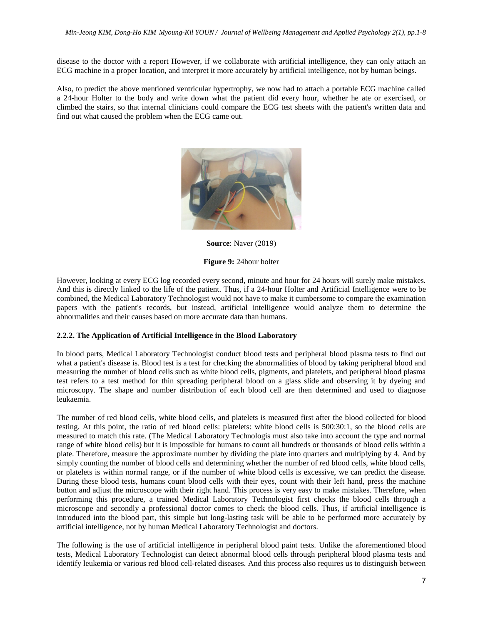disease to the doctor with a report However, if we collaborate with artificial intelligence, they can only attach an ECG machine in a proper location, and interpret it more accurately by artificial intelligence, not by human beings.

Also, to predict the above mentioned ventricular hypertrophy, we now had to attach a portable ECG machine called a 24-hour Holter to the body and write down what the patient did every hour, whether he ate or exercised, or climbed the stairs, so that internal clinicians could compare the ECG test sheets with the patient's written data and find out what caused the problem when the ECG came out.



**Source**: Naver (2019)

#### **Figure 9:** 24hour holter

However, looking at every ECG log recorded every second, minute and hour for 24 hours will surely make mistakes. And this is directly linked to the life of the patient. Thus, if a 24-hour Holter and Artificial Intelligence were to be combined, the Medical Laboratory Technologist would not have to make it cumbersome to compare the examination papers with the patient's records, but instead, artificial intelligence would analyze them to determine the abnormalities and their causes based on more accurate data than humans.

#### **2.2.2. The Application of Artificial Intelligence in the Blood Laboratory**

In blood parts, Medical Laboratory Technologist conduct blood tests and peripheral blood plasma tests to find out what a patient's disease is. Blood test is a test for checking the abnormalities of blood by taking peripheral blood and measuring the number of blood cells such as white blood cells, pigments, and platelets, and peripheral blood plasma test refers to a test method for thin spreading peripheral blood on a glass slide and observing it by dyeing and microscopy. The shape and number distribution of each blood cell are then determined and used to diagnose leukaemia.

The number of red blood cells, white blood cells, and platelets is measured first after the blood collected for blood testing. At this point, the ratio of red blood cells: platelets: white blood cells is 500:30:1, so the blood cells are measured to match this rate. (The Medical Laboratory Technologis must also take into account the type and normal range of white blood cells) but it is impossible for humans to count all hundreds or thousands of blood cells within a plate. Therefore, measure the approximate number by dividing the plate into quarters and multiplying by 4. And by simply counting the number of blood cells and determining whether the number of red blood cells, white blood cells, or platelets is within normal range, or if the number of white blood cells is excessive, we can predict the disease. During these blood tests, humans count blood cells with their eyes, count with their left hand, press the machine button and adjust the microscope with their right hand. This process is very easy to make mistakes. Therefore, when performing this procedure, a trained Medical Laboratory Technologist first checks the blood cells through a microscope and secondly a professional doctor comes to check the blood cells. Thus, if artificial intelligence is introduced into the blood part, this simple but long-lasting task will be able to be performed more accurately by artificial intelligence, not by human Medical Laboratory Technologist and doctors.

The following is the use of artificial intelligence in peripheral blood paint tests. Unlike the aforementioned blood tests, Medical Laboratory Technologist can detect abnormal blood cells through peripheral blood plasma tests and identify leukemia or various red blood cell-related diseases. And this process also requires us to distinguish between